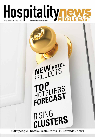## Hospitalitynews Issue 101 | Aug - Sep 2015 hospitalitynewsmag.com

# NEW HOTEL TOP<br>HOTELIERS<br>FORECAST RISING<br>CLUSTERS

100<sup>+</sup> people . hotels . restaurants . F&B trends . news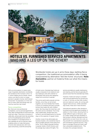

### **Hotels vs. furnished serviced apartments:** WHO HAS A LEG UP ON THE OTHER?



Worldwide hotels are up in arms these days, battling fierce competition: the traditional accommodation offer is being overpowered by alternative 'feel like home' structures. Nada Alameddine, partner at Hodema finds out what this means for hotels

With accommodation in nearly every major hospitality destination worldwide, the trendiest at the moment is the C to C online lodging service Airbnb, where visitors can stay for short or longer periods in people's homes; both shared and private. Its popularity is on the rise due to lower rates and listings that can rival four and five-star hotels.

#### Fierce competition

But, there are more professional competitors, such as serviced apartments. They offer furnished flats for both short and long-term stays. Their price is inclusive of utility bills, and provide hotel-like amenities, such as housekeeping service and 24 hour reception or concierge service. It was originally set up for long term stays, enabling visitors to make themselves at home when abroad and, with more space and privacy, avoid the anonymity

of hotel rooms. Extended stay hotels are usually composed of one-bedroom and two-bedroom units with a kitchen or kitchenette.Their prices and categories range from economy to upscale.

They prove particularly popular among families, since they can all remain together, are more flexible than hotels in terms of schedule and have a private kitchen that makes life with children easier. But they keep the hotel feel, with the same service standards. From long stays traditionally, people have thus turned to serviced apartments for shorter stays, at the expense of regular hotels.

Another crowd of new aficionados are business travelers, who sometimes have to stay for lengthy periods of time away from home. The so-called corporate housing is popular mainly in North America, and the average stay is above 30 nights. The

services provided are usually maintenance and cleaning, and the fees are generally 20 percent lower than the extended stay hotels.

However, hotels are trying to compete with serviced apartments by introducing a 'suite-in' formula, as they offer studios and one-bedroom suites, all coming with regular hotel services. Unlike extended stay hotels, these don't have kitchens.

International operators often develop a furnished serviced apartment building, in addition to their hotels; allowing them to target different types of demand, cater to a wider market and have flexibility in their product offering. Branded serviced apartments cut even more into costs, as they benefit from standardized operations and centralized clustered services. They have on average 29 percent fewer staff than unbranded establishments. "This increases the synergies between